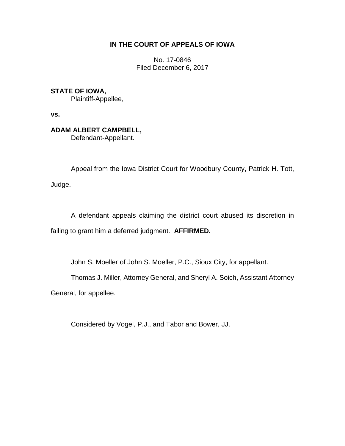## **IN THE COURT OF APPEALS OF IOWA**

No. 17-0846 Filed December 6, 2017

**STATE OF IOWA,**

Plaintiff-Appellee,

**vs.**

**ADAM ALBERT CAMPBELL,**

Defendant-Appellant.

Appeal from the Iowa District Court for Woodbury County, Patrick H. Tott, Judge.

\_\_\_\_\_\_\_\_\_\_\_\_\_\_\_\_\_\_\_\_\_\_\_\_\_\_\_\_\_\_\_\_\_\_\_\_\_\_\_\_\_\_\_\_\_\_\_\_\_\_\_\_\_\_\_\_\_\_\_\_\_\_\_\_

A defendant appeals claiming the district court abused its discretion in failing to grant him a deferred judgment. **AFFIRMED.**

John S. Moeller of John S. Moeller, P.C., Sioux City, for appellant.

Thomas J. Miller, Attorney General, and Sheryl A. Soich, Assistant Attorney

General, for appellee.

Considered by Vogel, P.J., and Tabor and Bower, JJ.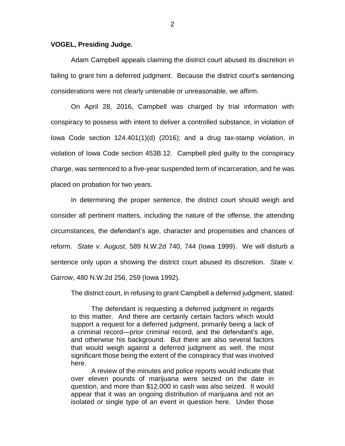## **VOGEL, Presiding Judge.**

Adam Campbell appeals claiming the district court abused its discretion in failing to grant him a deferred judgment. Because the district court's sentencing considerations were not clearly untenable or unreasonable, we affirm.

On April 28, 2016, Campbell was charged by trial information with conspiracy to possess with intent to deliver a controlled substance, in violation of Iowa Code section 124.401(1)(d) (2016); and a drug tax-stamp violation, in violation of Iowa Code section 453B.12. Campbell pled guilty to the conspiracy charge, was sentenced to a five-year suspended term of incarceration, and he was placed on probation for two years.

In determining the proper sentence, the district court should weigh and consider all pertinent matters, including the nature of the offense, the attending circumstances, the defendant's age, character and propensities and chances of reform. *State v. August*, 589 N.W.2d 740, 744 (Iowa 1999). We will disturb a sentence only upon a showing the district court abused its discretion. *State v. Garrow*, 480 N.W.2d 256, 259 (Iowa 1992).

The district court, in refusing to grant Campbell a deferred judgment, stated:

The defendant is requesting a deferred judgment in regards to this matter. And there are certainly certain factors which would support a request for a deferred judgment, primarily being a lack of a criminal record—prior criminal record, and the defendant's age, and otherwise his background. But there are also several factors that would weigh against a deferred judgment as well, the most significant those being the extent of the conspiracy that was involved here.

A review of the minutes and police reports would indicate that over eleven pounds of marijuana were seized on the date in question, and more than \$12,000 in cash was also seized. It would appear that it was an ongoing distribution of marijuana and not an isolated or single type of an event in question here. Under those

2